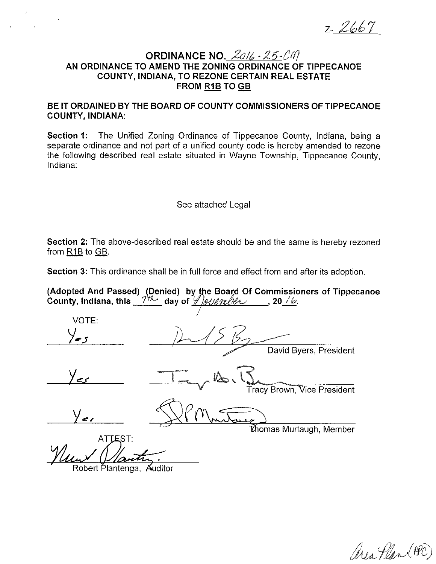z- 2667

## **ORDINANCE NO.** 2016 - 25-CM **AN ORDINANCE TO AMEND THE ZONING ORDINANCE OF TIPPECANOE COUNTY, INDIANA, TO REZONE CERTAIN REAL ESTATE FROM R1B TO GB**

**BE IT ORDAINED BY THE BOARD OF COUNTY COMMISSIONERS OF TIPPECANOE COUNTY, INDIANA:** 

**Section 1:** The Unified Zoning Ordinance of Tippecanoe County, Indiana, being a separate ordinance and not part of a unified county code is hereby amended to rezone the following described real estate situated in Wayne Township, Tippecanoe County, Indiana:

## See attached Legal

**Section 2:** The above-described real estate should be and the same is hereby rezoned from R1B to GB.

**Section** 3: This ordinance shall be in full force and effect from and after its adoption.

(Adopted And Passed) (Denied)by the Board Of Commissioners of Tippecanoe **County, Indiana, this** 7~ **day of** · , **20** *10.* 

VOTE: David Byers, President **Tracy Brown, Vice President ่<br>ที่ก่อmas Murtaugh, Member** ATTEST:

Robert Plantenga, Auditor

area Plan (APC)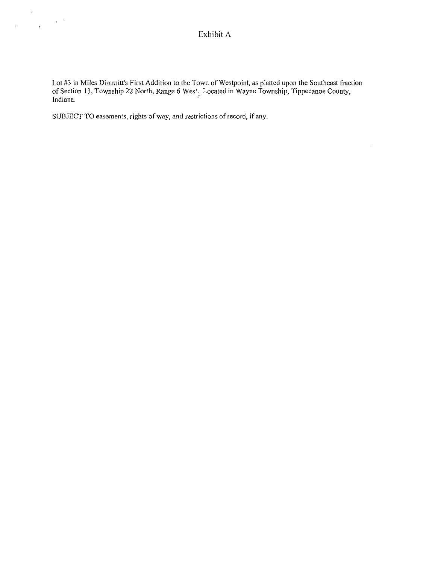Lot #3 in Miles Dimmitt's First Addition to the Town of Westpoint, as platted upon the Southeast fraction of Section 13, Township 22 North, Range 6 West. Located in Wayne Township, Tippecanoe County, Indiana. The contract of the contract of the contract of the contract of the contract of the contract of the contract of the contract of the contract of the contract of the contract of the contract of the contract of the c

 $\hat{\boldsymbol{\gamma}}$ 

**SUBJECT TO easements, rights of way, and restrictions of record, if any.** 

 $\boldsymbol{\beta}$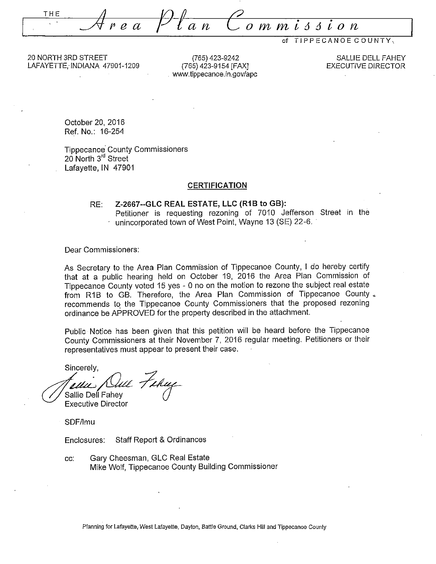THE Area Plan Commission

of TIPPECANOE COUNTY,

20 NORTH 3RD STREET LAFAYETIE, INDIANA 47901-1209

(765) 423-9242 (765) 423-9154 [FAX] . www.tippecanoe.in.gov/apc

SALLIE DELL FAHEY EXECUTIVE DIRECTOR

October 20, 2016 Ref. No.: 16-254

Tippecanoe· County Commissioners 20 North 3<sup>rd</sup> Street Lafayette, IN 47901

#### **CERTIFICATION**

#### RE: **Z-2667--GLC REAL ESTATE, LLC (R1B to GB):**  Petitioner is requesting rezoning of 7010 Jefferson Street in the unincorporated town of West Point, Wayne 13 (SE) 22-6.

Dear Commissioners:

As Secretary to the Area Plan Commission of Tippecanoe County, I do hereby certify that at a public hearing held on October 19, 2016 the Area Plan Commission of Tippecanoe County voted 15 yes - 0 no on the motion to rezone the subject real estate from R1B to GB. Therefore, the Area Plan Commission of Tippecanoe County  $\sqrt{ }$ recommends to. the Tippecanoe County Commissioners that the proposed rezoning ordinance be APPROVED for the property described in the attachment.

Public Notice has been given that this petition will be heard before the Tippecanoe County Commissioners at their November 7, 2016 regular meeting. Petitioners or their representatives must appear to present their case.

Sincerely,

)<br>Tellus Dull Fehuy

Executive Director

SDF/lmu

Enclosures: Staff Report & Ordinances

cc: Gary Cheesman, GLC Real Estate Mike Wolf, Tippecanoe County Building Commissioner

Planning for Lafayette, West Lafayette, Dayton, Battle Ground, Clarks Hill and Tippecanoe County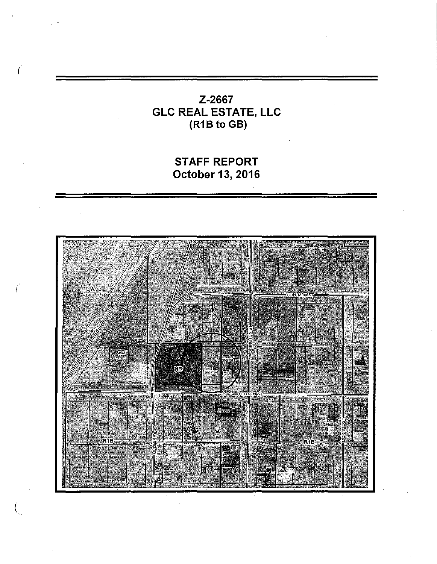# Z-2667 GLC REAL ESTATE, LLC (R18 to GB)

(

STAFF REPORT October 13, 2016